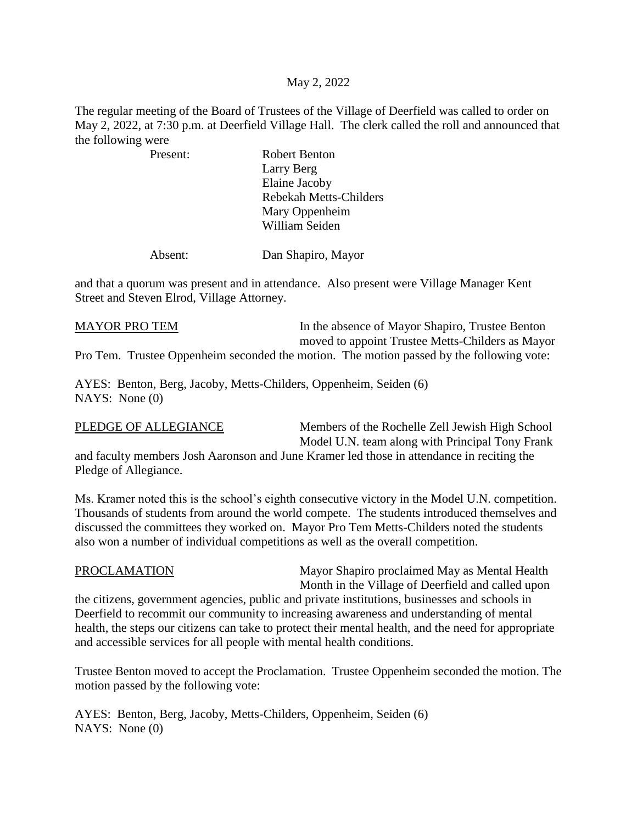## May 2, 2022

The regular meeting of the Board of Trustees of the Village of Deerfield was called to order on May 2, 2022, at 7:30 p.m. at Deerfield Village Hall. The clerk called the roll and announced that the following were

 Present: Robert Benton Larry Berg Elaine Jacoby Rebekah Metts-Childers Mary Oppenheim William Seiden

Absent: Dan Shapiro, Mayor

and that a quorum was present and in attendance. Also present were Village Manager Kent Street and Steven Elrod, Village Attorney.

MAYOR PRO TEM In the absence of Mayor Shapiro, Trustee Benton moved to appoint Trustee Metts-Childers as Mayor Pro Tem. Trustee Oppenheim seconded the motion. The motion passed by the following vote:

AYES: Benton, Berg, Jacoby, Metts-Childers, Oppenheim, Seiden (6) NAYS: None (0)

PLEDGE OF ALLEGIANCE Members of the Rochelle Zell Jewish High School Model U.N. team along with Principal Tony Frank

and faculty members Josh Aaronson and June Kramer led those in attendance in reciting the Pledge of Allegiance.

Ms. Kramer noted this is the school's eighth consecutive victory in the Model U.N. competition. Thousands of students from around the world compete. The students introduced themselves and discussed the committees they worked on. Mayor Pro Tem Metts-Childers noted the students also won a number of individual competitions as well as the overall competition.

PROCLAMATION Mayor Shapiro proclaimed May as Mental Health Month in the Village of Deerfield and called upon

the citizens, government agencies, public and private institutions, businesses and schools in Deerfield to recommit our community to increasing awareness and understanding of mental health, the steps our citizens can take to protect their mental health, and the need for appropriate and accessible services for all people with mental health conditions.

Trustee Benton moved to accept the Proclamation. Trustee Oppenheim seconded the motion. The motion passed by the following vote:

AYES: Benton, Berg, Jacoby, Metts-Childers, Oppenheim, Seiden (6) NAYS: None (0)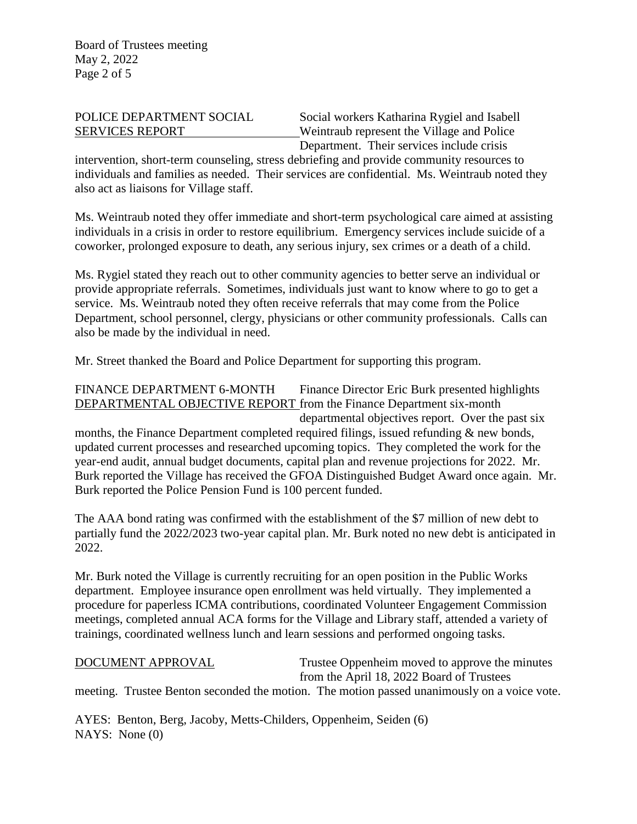POLICE DEPARTMENT SOCIAL Social workers Katharina Rygiel and Isabell SERVICES REPORT Weintraub represent the Village and Police Department. Their services include crisis

intervention, short-term counseling, stress debriefing and provide community resources to individuals and families as needed. Their services are confidential. Ms. Weintraub noted they also act as liaisons for Village staff.

Ms. Weintraub noted they offer immediate and short-term psychological care aimed at assisting individuals in a crisis in order to restore equilibrium. Emergency services include suicide of a coworker, prolonged exposure to death, any serious injury, sex crimes or a death of a child.

Ms. Rygiel stated they reach out to other community agencies to better serve an individual or provide appropriate referrals. Sometimes, individuals just want to know where to go to get a service. Ms. Weintraub noted they often receive referrals that may come from the Police Department, school personnel, clergy, physicians or other community professionals. Calls can also be made by the individual in need.

Mr. Street thanked the Board and Police Department for supporting this program.

FINANCE DEPARTMENT 6-MONTH Finance Director Eric Burk presented highlights DEPARTMENTAL OBJECTIVE REPORT from the Finance Department six-month departmental objectives report. Over the past six months, the Finance Department completed required filings, issued refunding  $\&$  new bonds, updated current processes and researched upcoming topics. They completed the work for the year-end audit, annual budget documents, capital plan and revenue projections for 2022. Mr. Burk reported the Village has received the GFOA Distinguished Budget Award once again. Mr. Burk reported the Police Pension Fund is 100 percent funded.

The AAA bond rating was confirmed with the establishment of the \$7 million of new debt to partially fund the 2022/2023 two-year capital plan. Mr. Burk noted no new debt is anticipated in 2022.

Mr. Burk noted the Village is currently recruiting for an open position in the Public Works department. Employee insurance open enrollment was held virtually. They implemented a procedure for paperless ICMA contributions, coordinated Volunteer Engagement Commission meetings, completed annual ACA forms for the Village and Library staff, attended a variety of trainings, coordinated wellness lunch and learn sessions and performed ongoing tasks.

DOCUMENT APPROVAL Trustee Oppenheim moved to approve the minutes from the April 18, 2022 Board of Trustees

meeting. Trustee Benton seconded the motion. The motion passed unanimously on a voice vote.

AYES: Benton, Berg, Jacoby, Metts-Childers, Oppenheim, Seiden (6) NAYS: None (0)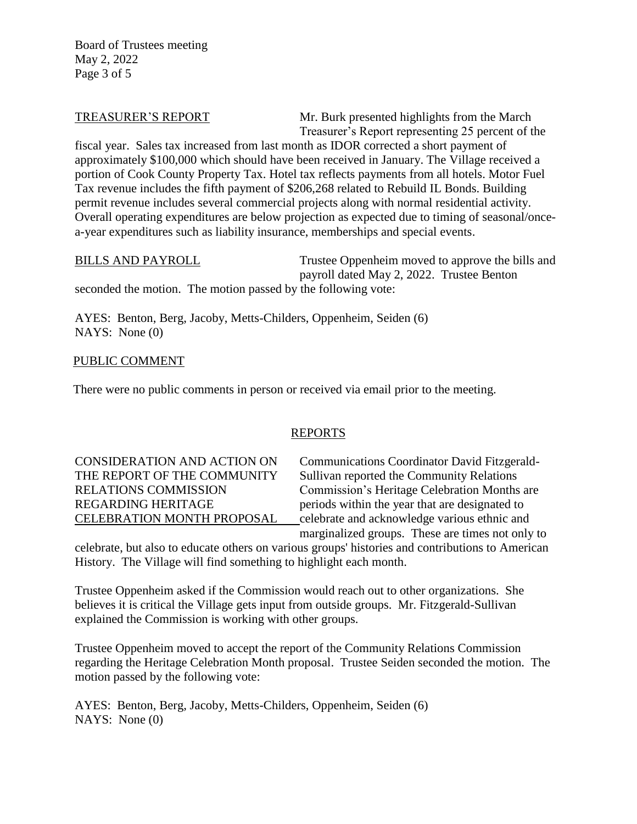Board of Trustees meeting May 2, 2022 Page 3 of 5

TREASURER'S REPORT Mr. Burk presented highlights from the March Treasurer's Report representing 25 percent of the

fiscal year. Sales tax increased from last month as IDOR corrected a short payment of approximately \$100,000 which should have been received in January. The Village received a portion of Cook County Property Tax. Hotel tax reflects payments from all hotels. Motor Fuel Tax revenue includes the fifth payment of \$206,268 related to Rebuild IL Bonds. Building permit revenue includes several commercial projects along with normal residential activity. Overall operating expenditures are below projection as expected due to timing of seasonal/oncea-year expenditures such as liability insurance, memberships and special events.

BILLS AND PAYROLL Trustee Oppenheim moved to approve the bills and payroll dated May 2, 2022. Trustee Benton

seconded the motion. The motion passed by the following vote:

AYES: Benton, Berg, Jacoby, Metts-Childers, Oppenheim, Seiden (6) NAYS: None (0)

# PUBLIC COMMENT

There were no public comments in person or received via email prior to the meeting.

# REPORTS

CONSIDERATION AND ACTION ON Communications Coordinator David Fitzgerald-THE REPORT OF THE COMMUNITY Sullivan reported the Community Relations RELATIONS COMMISSION Commission's Heritage Celebration Months are REGARDING HERITAGE periods within the year that are designated to CELEBRATION MONTH PROPOSAL celebrate and acknowledge various ethnic and marginalized groups. These are times not only to

celebrate, but also to educate others on various groups' histories and contributions to American History. The Village will find something to highlight each month.

Trustee Oppenheim asked if the Commission would reach out to other organizations. She believes it is critical the Village gets input from outside groups. Mr. Fitzgerald-Sullivan explained the Commission is working with other groups.

Trustee Oppenheim moved to accept the report of the Community Relations Commission regarding the Heritage Celebration Month proposal. Trustee Seiden seconded the motion. The motion passed by the following vote:

AYES: Benton, Berg, Jacoby, Metts-Childers, Oppenheim, Seiden (6) NAYS: None (0)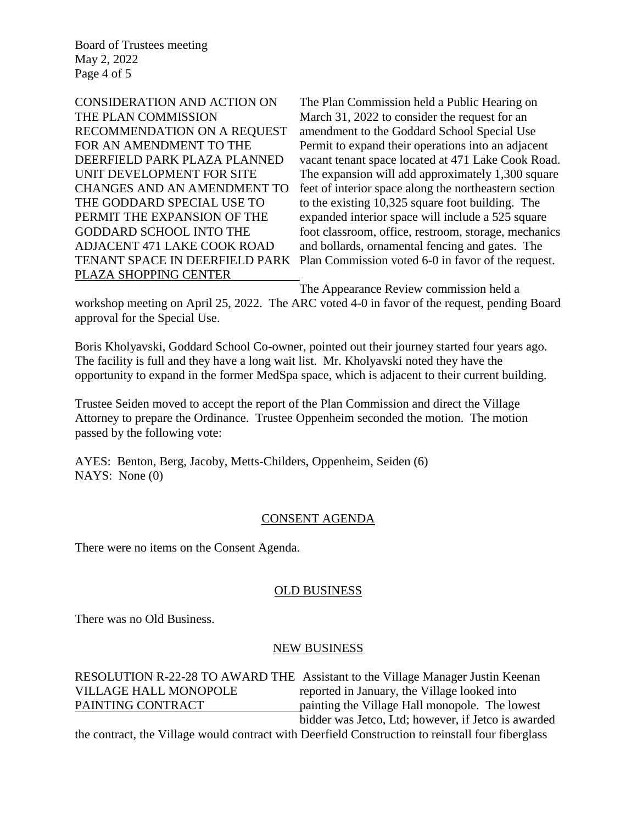Board of Trustees meeting May 2, 2022 Page 4 of 5

PLAZA SHOPPING CENTER

CONSIDERATION AND ACTION ON The Plan Commission held a Public Hearing on THE PLAN COMMISSION March 31, 2022 to consider the request for an RECOMMENDATION ON A REQUEST amendment to the Goddard School Special Use FOR AN AMENDMENT TO THE Permit to expand their operations into an adjacent DEERFIELD PARK PLAZA PLANNED vacant tenant space located at 471 Lake Cook Road. UNIT DEVELOPMENT FOR SITE The expansion will add approximately 1,300 square CHANGES AND AN AMENDMENT TO feet of interior space along the northeastern section THE GODDARD SPECIAL USE TO to the existing 10,325 square foot building. The PERMIT THE EXPANSION OF THE expanded interior space will include a 525 square GODDARD SCHOOL INTO THE foot classroom, office, restroom, storage, mechanics ADJACENT 471 LAKE COOK ROAD and bollards, ornamental fencing and gates. The TENANT SPACE IN DEERFIELD PARK Plan Commission voted 6-0 in favor of the request.

The Appearance Review commission held a

workshop meeting on April 25, 2022. The ARC voted 4-0 in favor of the request, pending Board approval for the Special Use.

Boris Kholyavski, Goddard School Co-owner, pointed out their journey started four years ago. The facility is full and they have a long wait list. Mr. Kholyavski noted they have the opportunity to expand in the former MedSpa space, which is adjacent to their current building.

Trustee Seiden moved to accept the report of the Plan Commission and direct the Village Attorney to prepare the Ordinance. Trustee Oppenheim seconded the motion. The motion passed by the following vote:

AYES: Benton, Berg, Jacoby, Metts-Childers, Oppenheim, Seiden (6) NAYS: None (0)

## CONSENT AGENDA

There were no items on the Consent Agenda.

### OLD BUSINESS

There was no Old Business.

### NEW BUSINESS

|                              | RESOLUTION R-22-28 TO AWARD THE Assistant to the Village Manager Justin Keenan |
|------------------------------|--------------------------------------------------------------------------------|
| <b>VILLAGE HALL MONOPOLE</b> | reported in January, the Village looked into                                   |
| PAINTING CONTRACT            | painting the Village Hall monopole. The lowest                                 |
|                              | bidder was Jetco, Ltd; however, if Jetco is awarded                            |

the contract, the Village would contract with Deerfield Construction to reinstall four fiberglass